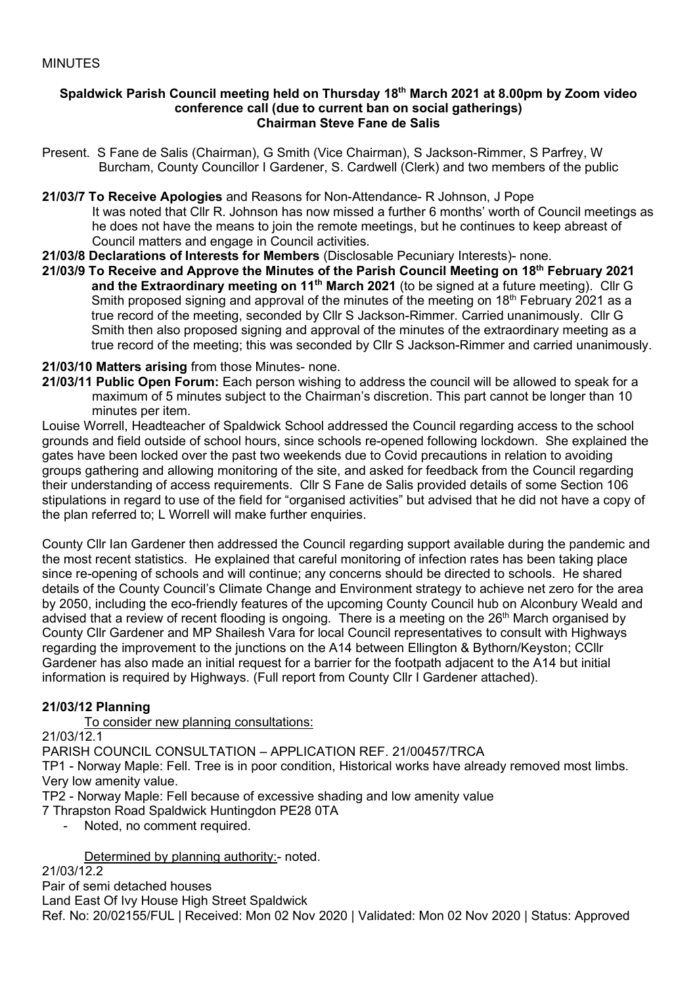#### **Spaldwick Parish Council meeting held on Thursday 18th March 2021 at 8.00pm by Zoom video conference call (due to current ban on social gatherings) Chairman Steve Fane de Salis**

- Present. S Fane de Salis (Chairman), G Smith (Vice Chairman), S Jackson-Rimmer, S Parfrey, W Burcham, County Councillor I Gardener, S. Cardwell (Clerk) and two members of the public
- **21/03/7 To Receive Apologies** and Reasons for Non-Attendance- R Johnson, J Pope It was noted that Cllr R. Johnson has now missed a further 6 months' worth of Council meetings as he does not have the means to join the remote meetings, but he continues to keep abreast of Council matters and engage in Council activities.
- **21/03/8 Declarations of Interests for Members** (Disclosable Pecuniary Interests)- none.
- **21/03/9 To Receive and Approve the Minutes of the Parish Council Meeting on 18th February 2021 and the Extraordinary meeting on 11th March 2021** (to be signed at a future meeting). Cllr G Smith proposed signing and approval of the minutes of the meeting on 18<sup>th</sup> February 2021 as a true record of the meeting, seconded by Cllr S Jackson-Rimmer. Carried unanimously. Cllr G Smith then also proposed signing and approval of the minutes of the extraordinary meeting as a true record of the meeting; this was seconded by Cllr S Jackson-Rimmer and carried unanimously.

### **21/03/10 Matters arising** from those Minutes- none.

**21/03/11 Public Open Forum:** Each person wishing to address the council will be allowed to speak for a maximum of 5 minutes subject to the Chairman's discretion. This part cannot be longer than 10 minutes per item.

Louise Worrell, Headteacher of Spaldwick School addressed the Council regarding access to the school grounds and field outside of school hours, since schools re-opened following lockdown. She explained the gates have been locked over the past two weekends due to Covid precautions in relation to avoiding groups gathering and allowing monitoring of the site, and asked for feedback from the Council regarding their understanding of access requirements. Cllr S Fane de Salis provided details of some Section 106 stipulations in regard to use of the field for "organised activities" but advised that he did not have a copy of the plan referred to; L Worrell will make further enquiries.

County Cllr Ian Gardener then addressed the Council regarding support available during the pandemic and the most recent statistics. He explained that careful monitoring of infection rates has been taking place since re-opening of schools and will continue; any concerns should be directed to schools. He shared details of the County Council's Climate Change and Environment strategy to achieve net zero for the area by 2050, including the eco-friendly features of the upcoming County Council hub on Alconbury Weald and advised that a review of recent flooding is ongoing. There is a meeting on the 26<sup>th</sup> March organised by County Cllr Gardener and MP Shailesh Vara for local Council representatives to consult with Highways regarding the improvement to the junctions on the A14 between Ellington & Bythorn/Keyston; CCllr Gardener has also made an initial request for a barrier for the footpath adjacent to the A14 but initial information is required by Highways. (Full report from County Cllr I Gardener attached).

# **21/03/12 Planning**

To consider new planning consultations:

 $21/03/12.1$ PARISH COUNCIL CONSULTATION – APPLICATION REF. 21/00457/TRCA TP1 - Norway Maple: Fell. Tree is in poor condition, Historical works have already removed most limbs. Very low amenity value.

TP2 - Norway Maple: Fell because of excessive shading and low amenity value

7 Thrapston Road Spaldwick Huntingdon PE28 0TA

Noted, no comment required.

### Determined by planning authority:- noted.

21/03/12.2

[Pair of semi detached houses](https://publicaccess.huntingdonshire.gov.uk/online-applications/applicationDetails.do?keyVal=QJ6FEKIKGQY00&activeTab=summary) Land East Of Ivy House High Street Spaldwick Ref. No: 20/02155/FUL | Received: Mon 02 Nov 2020 | Validated: Mon 02 Nov 2020 | Status: Approved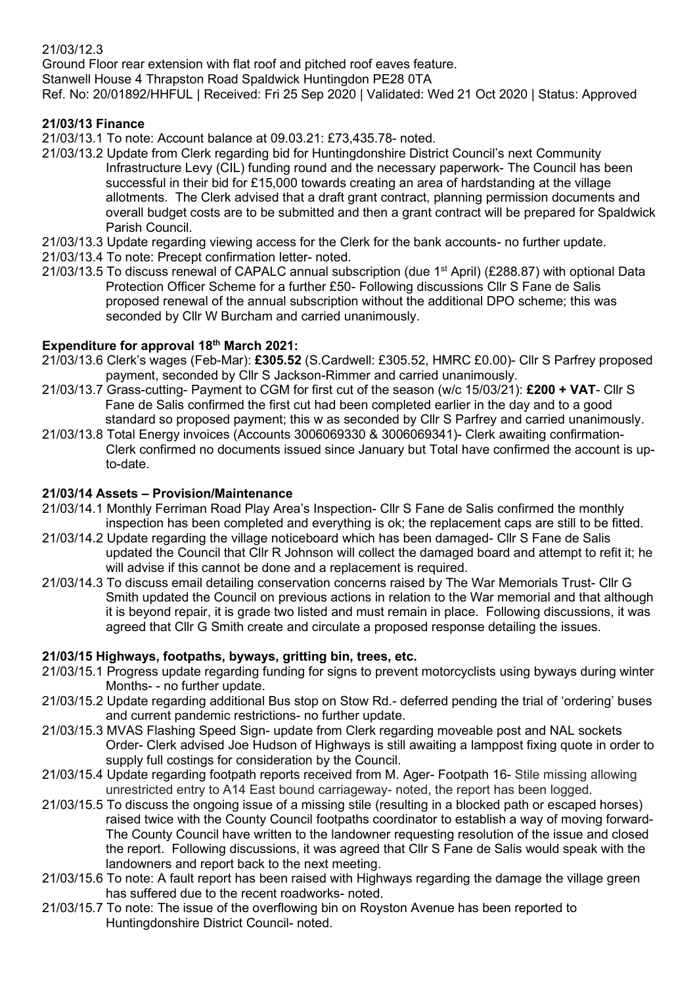# 21/03/12.3

[Ground Floor rear extension with flat roof and pitched roof eaves feature.](https://publicaccess.huntingdonshire.gov.uk/online-applications/applicationDetails.do?keyVal=QHDA7DIK0HH00&activeTab=summary) Stanwell House 4 Thrapston Road Spaldwick Huntingdon PE28 0TA Ref. No: 20/01892/HHFUL | Received: Fri 25 Sep 2020 | Validated: Wed 21 Oct 2020 | Status: Approved

# **21/03/13 Finance**

21/03/13.1 To note: Account balance at 09.03.21: £73,435.78- noted.

- 21/03/13.2 Update from Clerk regarding bid for Huntingdonshire District Council's next Community Infrastructure Levy (CIL) funding round and the necessary paperwork- The Council has been successful in their bid for £15,000 towards creating an area of hardstanding at the village allotments. The Clerk advised that a draft grant contract, planning permission documents and overall budget costs are to be submitted and then a grant contract will be prepared for Spaldwick Parish Council.
- 21/03/13.3 Update regarding viewing access for the Clerk for the bank accounts- no further update.
- 21/03/13.4 To note: Precept confirmation letter- noted.
- 21/03/13.5 To discuss renewal of CAPALC annual subscription (due 1<sup>st</sup> April) (£288.87) with optional Data Protection Officer Scheme for a further £50- Following discussions Cllr S Fane de Salis proposed renewal of the annual subscription without the additional DPO scheme; this was seconded by Cllr W Burcham and carried unanimously.

### **Expenditure for approval 18th March 2021:**

- 21/03/13.6 Clerk's wages (Feb-Mar): **£305.52** (S.Cardwell: £305.52, HMRC £0.00)- Cllr S Parfrey proposed payment, seconded by Cllr S Jackson-Rimmer and carried unanimously.
- 21/03/13.7 Grass-cutting- Payment to CGM for first cut of the season (w/c 15/03/21): **£200 + VAT** Cllr S Fane de Salis confirmed the first cut had been completed earlier in the day and to a good standard so proposed payment; this w as seconded by Cllr S Parfrey and carried unanimously.
- 21/03/13.8 Total Energy invoices (Accounts 3006069330 & 3006069341)- Clerk awaiting confirmation- Clerk confirmed no documents issued since January but Total have confirmed the account is up to-date.

### **21/03/14 Assets – Provision/Maintenance**

- 21/03/14.1 Monthly Ferriman Road Play Area's Inspection- Cllr S Fane de Salis confirmed the monthly inspection has been completed and everything is ok; the replacement caps are still to be fitted.
- 21/03/14.2 Update regarding the village noticeboard which has been damaged- Cllr S Fane de Salis updated the Council that Cllr R Johnson will collect the damaged board and attempt to refit it; he will advise if this cannot be done and a replacement is required.
- 21/03/14.3 To discuss email detailing conservation concerns raised by The War Memorials Trust- Cllr G Smith updated the Council on previous actions in relation to the War memorial and that although it is beyond repair, it is grade two listed and must remain in place. Following discussions, it was agreed that Cllr G Smith create and circulate a proposed response detailing the issues.

### **21/03/15 Highways, footpaths, byways, gritting bin, trees, etc.**

- 21/03/15.1 Progress update regarding funding for signs to prevent motorcyclists using byways during winter Months- - no further update.
- 21/03/15.2 Update regarding additional Bus stop on Stow Rd.- deferred pending the trial of 'ordering' buses and current pandemic restrictions- no further update.
- 21/03/15.3 MVAS Flashing Speed Sign- update from Clerk regarding moveable post and NAL sockets Order- Clerk advised Joe Hudson of Highways is still awaiting a lamppost fixing quote in order to supply full costings for consideration by the Council.
- 21/03/15.4 Update regarding footpath reports received from M. Ager- Footpath 16- Stile missing allowing unrestricted entry to A14 East bound carriageway- noted, the report has been logged.
- 21/03/15.5 To discuss the ongoing issue of a missing stile (resulting in a blocked path or escaped horses) raised twice with the County Council footpaths coordinator to establish a way of moving forward- The County Council have written to the landowner requesting resolution of the issue and closed the report. Following discussions, it was agreed that Cllr S Fane de Salis would speak with the landowners and report back to the next meeting.
- 21/03/15.6 To note: A fault report has been raised with Highways regarding the damage the village green has suffered due to the recent roadworks- noted.
- 21/03/15.7 To note: The issue of the overflowing bin on Royston Avenue has been reported to Huntingdonshire District Council- noted.